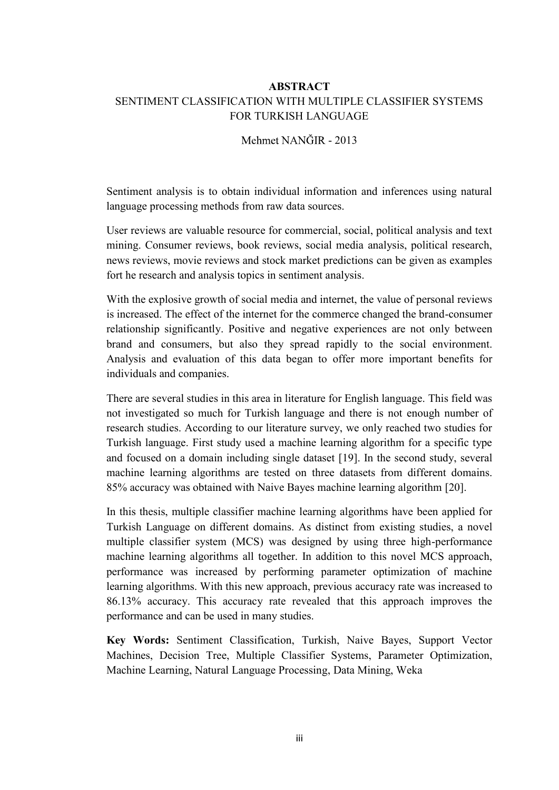## ABSTRACT SENTIMENT CLASSIFICATION WITH MULTIPLE CLASSIFIER SYSTEMS FOR TURKISH LANGUAGE

## Mehmet NANĞIR - 2013

Sentiment analysis is to obtain individual information and inferences using natural language processing methods from raw data sources.

User reviews are valuable resource for commercial, social, political analysis and text mining. Consumer reviews, book reviews, social media analysis, political research, news reviews, movie reviews and stock market predictions can be given as examples fort he research and analysis topics in sentiment analysis.

With the explosive growth of social media and internet, the value of personal reviews is increased. The effect of the internet for the commerce changed the brand-consumer relationship significantly. Positive and negative experiences are not only between brand and consumers, but also they spread rapidly to the social environment. Analysis and evaluation of this data began to offer more important benefits for individuals and companies.

There are several studies in this area in literature for English language. This field was not investigated so much for Turkish language and there is not enough number of research studies. According to our literature survey, we only reached two studies for Turkish language. First study used a machine learning algorithm for a specific type and focused on a domain including single dataset [19]. In the second study, several machine learning algorithms are tested on three datasets from different domains. 85% accuracy was obtained with Naive Bayes machine learning algorithm [20].

In this thesis, multiple classifier machine learning algorithms have been applied for Turkish Language on different domains. As distinct from existing studies, a novel multiple classifier system (MCS) was designed by using three high-performance machine learning algorithms all together. In addition to this novel MCS approach, performance was increased by performing parameter optimization of machine learning algorithms. With this new approach, previous accuracy rate was increased to 86.13% accuracy. This accuracy rate revealed that this approach improves the performance and can be used in many studies.

Key Words: Sentiment Classification, Turkish, Naive Bayes, Support Vector Machines, Decision Tree, Multiple Classifier Systems, Parameter Optimization, Machine Learning, Natural Language Processing, Data Mining, Weka